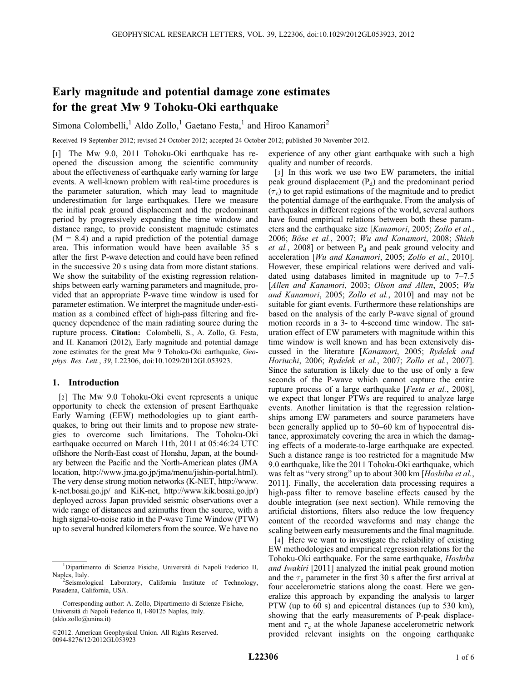# Early magnitude and potential damage zone estimates for the great Mw 9 Tohoku-Oki earthquake

Simona Colombelli,<sup>1</sup> Aldo Zollo,<sup>1</sup> Gaetano Festa,<sup>1</sup> and Hiroo Kanamori<sup>2</sup>

Received 19 September 2012; revised 24 October 2012; accepted 24 October 2012; published 30 November 2012.

[1] The Mw 9.0, 2011 Tohoku-Oki earthquake has reopened the discussion among the scientific community about the effectiveness of earthquake early warning for large events. A well-known problem with real-time procedures is the parameter saturation, which may lead to magnitude underestimation for large earthquakes. Here we measure the initial peak ground displacement and the predominant period by progressively expanding the time window and distance range, to provide consistent magnitude estimates  $(M = 8.4)$  and a rapid prediction of the potential damage area. This information would have been available 35 s after the first P-wave detection and could have been refined in the successive 20 s using data from more distant stations. We show the suitability of the existing regression relationships between early warning parameters and magnitude, provided that an appropriate P-wave time window is used for parameter estimation. We interpret the magnitude under-estimation as a combined effect of high-pass filtering and frequency dependence of the main radiating source during the rupture process. Citation: Colombelli, S., A. Zollo, G. Festa, and H. Kanamori (2012), Early magnitude and potential damage zone estimates for the great Mw 9 Tohoku-Oki earthquake, Geophys. Res. Lett., 39, L22306, doi:10.1029/2012GL053923.

## 1. Introduction

[2] The Mw 9.0 Tohoku-Oki event represents a unique opportunity to check the extension of present Earthquake Early Warning (EEW) methodologies up to giant earthquakes, to bring out their limits and to propose new strategies to overcome such limitations. The Tohoku-Oki earthquake occurred on March 11th, 2011 at 05:46:24 UTC offshore the North-East coast of Honshu, Japan, at the boundary between the Pacific and the North-American plates (JMA location, http://www.jma.go.jp/jma/menu/jishin-portal.html). The very dense strong motion networks (K-NET, http://www. k-net.bosai.go.jp/ and KiK-net, http://www.kik.bosai.go.jp/) deployed across Japan provided seismic observations over a wide range of distances and azimuths from the source, with a high signal-to-noise ratio in the P-wave Time Window (PTW) up to several hundred kilometers from the source. We have no

experience of any other giant earthquake with such a high quality and number of records.

[3] In this work we use two EW parameters, the initial peak ground displacement  $(P_d)$  and the predominant period  $(\tau_c)$  to get rapid estimations of the magnitude and to predict the potential damage of the earthquake. From the analysis of earthquakes in different regions of the world, several authors have found empirical relations between both these parameters and the earthquake size [Kanamori, 2005; Zollo et al., 2006; Böse et al., 2007; Wu and Kanamori, 2008; Shieh et al., 2008] or between  $P_d$  and peak ground velocity and acceleration [Wu and Kanamori, 2005; Zollo et al., 2010]. However, these empirical relations were derived and validated using databases limited in magnitude up to 7–7.5 [Allen and Kanamori, 2003; Olson and Allen, 2005; Wu and Kanamori, 2005; Zollo et al., 2010] and may not be suitable for giant events. Furthermore these relationships are based on the analysis of the early P-wave signal of ground motion records in a 3- to 4-second time window. The saturation effect of EW parameters with magnitude within this time window is well known and has been extensively discussed in the literature [Kanamori, 2005; Rydelek and Horiuchi, 2006; Rydelek et al., 2007; Zollo et al., 2007]. Since the saturation is likely due to the use of only a few seconds of the P-wave which cannot capture the entire rupture process of a large earthquake [Festa et al., 2008], we expect that longer PTWs are required to analyze large events. Another limitation is that the regression relationships among EW parameters and source parameters have been generally applied up to 50–60 km of hypocentral distance, approximately covering the area in which the damaging effects of a moderate-to-large earthquake are expected. Such a distance range is too restricted for a magnitude Mw 9.0 earthquake, like the 2011 Tohoku-Oki earthquake, which was felt as "very strong" up to about 300 km [*Hoshiba et al.*, 2011]. Finally, the acceleration data processing requires a high-pass filter to remove baseline effects caused by the double integration (see next section). While removing the artificial distortions, filters also reduce the low frequency content of the recorded waveforms and may change the scaling between early measurements and the final magnitude.

[4] Here we want to investigate the reliability of existing EW methodologies and empirical regression relations for the Tohoku-Oki earthquake. For the same earthquake, Hoshiba and Iwakiri [2011] analyzed the initial peak ground motion and the  $\tau_c$  parameter in the first 30 s after the first arrival at four accelerometric stations along the coast. Here we generalize this approach by expanding the analysis to larger PTW (up to 60 s) and epicentral distances (up to 530 km), showing that the early measurements of P-peak displacement and  $\tau_c$  at the whole Japanese accelerometric network provided relevant insights on the ongoing earthquake

<sup>1</sup> Dipartimento di Scienze Fisiche, Università di Napoli Federico II, Naples, Italy.

<sup>&</sup>lt;sup>2</sup>Seismological Laboratory, California Institute of Technology, Pasadena, California, USA.

Corresponding author: A. Zollo, Dipartimento di Scienze Fisiche, Università di Napoli Federico II, I-80125 Naples, Italy. (aldo.zollo@unina.it)

<sup>©2012.</sup> American Geophysical Union. All Rights Reserved. 0094-8276/12/2012GL053923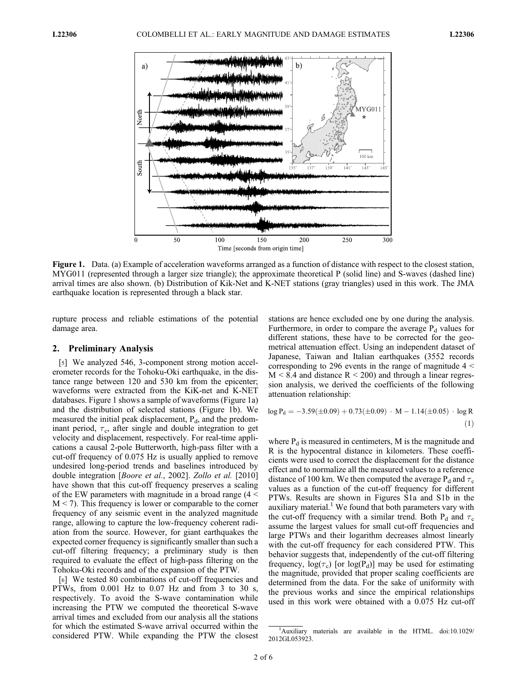

Figure 1. Data. (a) Example of acceleration waveforms arranged as a function of distance with respect to the closest station, MYG011 (represented through a larger size triangle); the approximate theoretical P (solid line) and S-waves (dashed line) arrival times are also shown. (b) Distribution of Kik-Net and K-NET stations (gray triangles) used in this work. The JMA earthquake location is represented through a black star.

rupture process and reliable estimations of the potential damage area.

## 2. Preliminary Analysis

[5] We analyzed 546, 3-component strong motion accelerometer records for the Tohoku-Oki earthquake, in the distance range between 120 and 530 km from the epicenter; waveforms were extracted from the KiK-net and K-NET databases. Figure 1 shows a sample of waveforms (Figure 1a) and the distribution of selected stations (Figure 1b). We measured the initial peak displacement,  $P_{d}$ , and the predominant period,  $\tau_c$ , after single and double integration to get velocity and displacement, respectively. For real-time applications a causal 2-pole Butterworth, high-pass filter with a cut-off frequency of 0.075 Hz is usually applied to remove undesired long-period trends and baselines introduced by double integration [*Boore et al.*, 2002]. Zollo et al. [2010] have shown that this cut-off frequency preserves a scaling of the EW parameters with magnitude in a broad range (4 <  $M < 7$ ). This frequency is lower or comparable to the corner frequency of any seismic event in the analyzed magnitude range, allowing to capture the low-frequency coherent radiation from the source. However, for giant earthquakes the expected corner frequency is significantly smaller than such a cut-off filtering frequency; a preliminary study is then required to evaluate the effect of high-pass filtering on the Tohoku-Oki records and of the expansion of the PTW.

[6] We tested 80 combinations of cut-off frequencies and PTWs, from 0.001 Hz to 0.07 Hz and from 3 to 30 s, respectively. To avoid the S-wave contamination while increasing the PTW we computed the theoretical S-wave arrival times and excluded from our analysis all the stations for which the estimated S-wave arrival occurred within the considered PTW. While expanding the PTW the closest

stations are hence excluded one by one during the analysis. Furthermore, in order to compare the average  $P_d$  values for different stations, these have to be corrected for the geometrical attenuation effect. Using an independent dataset of Japanese, Taiwan and Italian earthquakes (3552 records corresponding to 296 events in the range of magnitude  $4 <$  $M < 8.4$  and distance  $R < 200$ ) and through a linear regression analysis, we derived the coefficients of the following attenuation relationship:

$$
\log P_d = -3.59(\pm 0.09) + 0.73(\pm 0.09) \cdot M - 1.14(\pm 0.05) \cdot \log R
$$
  
(1)

where  $P_d$  is measured in centimeters, M is the magnitude and R is the hypocentral distance in kilometers. These coefficients were used to correct the displacement for the distance effect and to normalize all the measured values to a reference distance of 100 km. We then computed the average  $P_d$  and  $\tau_c$ values as a function of the cut-off frequency for different PTWs. Results are shown in Figures S1a and S1b in the auxiliary material. $<sup>1</sup>$  We found that both parameters vary with</sup> the cut-off frequency with a similar trend. Both  $P_d$  and  $\tau_c$ assume the largest values for small cut-off frequencies and large PTWs and their logarithm decreases almost linearly with the cut-off frequency for each considered PTW. This behavior suggests that, independently of the cut-off filtering frequency,  $log(\tau_c)$  [or  $log(P_d)$ ] may be used for estimating the magnitude, provided that proper scaling coefficients are determined from the data. For the sake of uniformity with the previous works and since the empirical relationships used in this work were obtained with a 0.075 Hz cut-off

<sup>&</sup>lt;sup>1</sup>Auxiliary materials are available in the HTML. doi:10.1029/ 2012GL053923.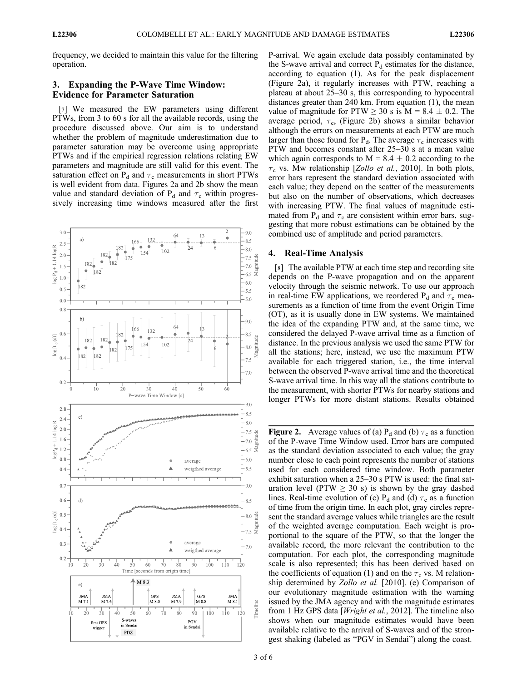frequency, we decided to maintain this value for the filtering operation.

## 3. Expanding the P-Wave Time Window: Evidence for Parameter Saturation

[7] We measured the EW parameters using different PTWs, from 3 to 60 s for all the available records, using the procedure discussed above. Our aim is to understand whether the problem of magnitude underestimation due to parameter saturation may be overcome using appropriate PTWs and if the empirical regression relations relating EW parameters and magnitude are still valid for this event. The saturation effect on  $P_d$  and  $\tau_c$  measurements in short PTWs is well evident from data. Figures 2a and 2b show the mean value and standard deviation of  $P_d$  and  $\tau_c$  within progressively increasing time windows measured after the first



P-arrival. We again exclude data possibly contaminated by the S-wave arrival and correct  $P_d$  estimates for the distance, according to equation (1). As for the peak displacement (Figure 2a), it regularly increases with PTW, reaching a plateau at about 25–30 s, this corresponding to hypocentral distances greater than 240 km. From equation (1), the mean value of magnitude for PTW  $\geq$  30 s is M = 8.4  $\pm$  0.2. The average period,  $\tau_c$ , (Figure 2b) shows a similar behavior although the errors on measurements at each PTW are much larger than those found for  $P_d$ . The average  $\tau_c$  increases with PTW and becomes constant after 25–30 s at a mean value which again corresponds to  $M = 8.4 \pm 0.2$  according to the  $\tau_c$  vs. Mw relationship [Zollo et al., 2010]. In both plots, error bars represent the standard deviation associated with each value; they depend on the scatter of the measurements but also on the number of observations, which decreases with increasing PTW. The final values of magnitude estimated from  $P_d$  and  $\tau_c$  are consistent within error bars, suggesting that more robust estimations can be obtained by the combined use of amplitude and period parameters.

## 4. Real-Time Analysis

[8] The available PTW at each time step and recording site depends on the P-wave propagation and on the apparent velocity through the seismic network. To use our approach in real-time EW applications, we reordered  $P_d$  and  $\tau_c$  measurements as a function of time from the event Origin Time (OT), as it is usually done in EW systems. We maintained the idea of the expanding PTW and, at the same time, we considered the delayed P-wave arrival time as a function of distance. In the previous analysis we used the same PTW for all the stations; here, instead, we use the maximum PTW available for each triggered station, i.e., the time interval between the observed P-wave arrival time and the theoretical S-wave arrival time. In this way all the stations contribute to the measurement, with shorter PTWs for nearby stations and longer PTWs for more distant stations. Results obtained

**Figure 2.** Average values of (a)  $P_d$  and (b)  $\tau_c$  as a function of the P-wave Time Window used. Error bars are computed as the standard deviation associated to each value; the gray number close to each point represents the number of stations used for each considered time window. Both parameter exhibit saturation when a 25–30 s PTW is used: the final saturation level (PTW  $\geq$  30 s) is shown by the gray dashed lines. Real-time evolution of (c)  $P_d$  and (d)  $\tau_c$  as a function of time from the origin time. In each plot, gray circles represent the standard average values while triangles are the result of the weighted average computation. Each weight is proportional to the square of the PTW, so that the longer the available record, the more relevant the contribution to the computation. For each plot, the corresponding magnitude scale is also represented; this has been derived based on the coefficients of equation (1) and on the  $\tau_c$  vs. M relationship determined by *Zollo et al.* [2010]. (e) Comparison of our evolutionary magnitude estimation with the warning issued by the JMA agency and with the magnitude estimates from 1 Hz GPS data [*Wright et al.*, 2012]. The timeline also shows when our magnitude estimates would have been available relative to the arrival of S-waves and of the strongest shaking (labeled as "PGV in Sendai") along the coast.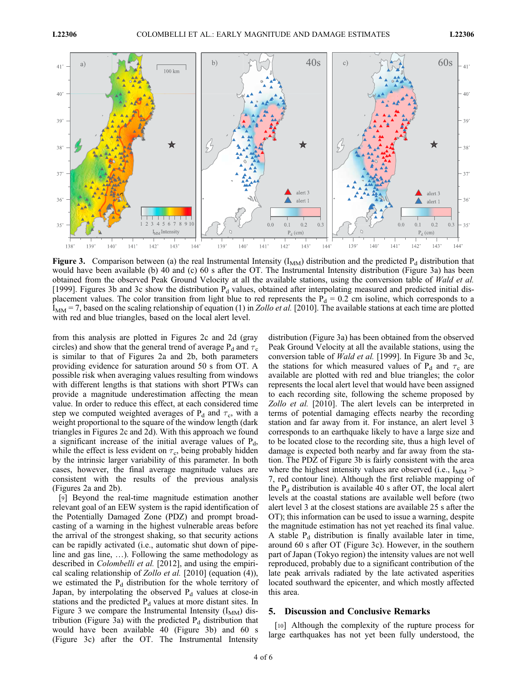

**Figure 3.** Comparison between (a) the real Instrumental Intensity ( $I_{MM}$ ) distribution and the predicted  $P_d$  distribution that would have been available (b) 40 and (c) 60 s after the OT. The Instrumental Intensity distribution (Figure 3a) has been obtained from the observed Peak Ground Velocity at all the available stations, using the conversion table of Wald et al. [1999]. Figures 3b and 3c show the distribution  $P_d$  values, obtained after interpolating measured and predicted initial displacement values. The color transition from light blue to red represents the  $P_d = 0.2$  cm isoline, which corresponds to a  $I_{MM}$  = 7, based on the scaling relationship of equation (1) in *Zollo et al.* [2010]. The available stations at each time are plotted with red and blue triangles, based on the local alert level.

from this analysis are plotted in Figures 2c and 2d (gray circles) and show that the general trend of average  $P_d$  and  $\tau_c$ is similar to that of Figures 2a and 2b, both parameters providing evidence for saturation around 50 s from OT. A possible risk when averaging values resulting from windows with different lengths is that stations with short PTWs can provide a magnitude underestimation affecting the mean value. In order to reduce this effect, at each considered time step we computed weighted averages of  $P_d$  and  $\tau_c$ , with a weight proportional to the square of the window length (dark triangles in Figures 2c and 2d). With this approach we found a significant increase of the initial average values of  $P_d$ , while the effect is less evident on  $\tau_c$ , being probably hidden by the intrinsic larger variability of this parameter. In both cases, however, the final average magnitude values are consistent with the results of the previous analysis (Figures 2a and 2b).

[9] Beyond the real-time magnitude estimation another relevant goal of an EEW system is the rapid identification of the Potentially Damaged Zone (PDZ) and prompt broadcasting of a warning in the highest vulnerable areas before the arrival of the strongest shaking, so that security actions can be rapidly activated (i.e., automatic shut down of pipeline and gas line, …). Following the same methodology as described in Colombelli et al. [2012], and using the empirical scaling relationship of Zollo et al. [2010] (equation (4)), we estimated the  $P_d$  distribution for the whole territory of Japan, by interpolating the observed  $P_d$  values at close-in stations and the predicted  $P_d$  values at more distant sites. In Figure 3 we compare the Instrumental Intensity  $(I_{MM})$  distribution (Figure 3a) with the predicted  $P_d$  distribution that would have been available 40 (Figure 3b) and 60 s (Figure 3c) after the OT. The Instrumental Intensity

distribution (Figure 3a) has been obtained from the observed Peak Ground Velocity at all the available stations, using the conversion table of Wald et al. [1999]. In Figure 3b and 3c, the stations for which measured values of P<sub>d</sub> and  $\tau_c$  are available are plotted with red and blue triangles; the color represents the local alert level that would have been assigned to each recording site, following the scheme proposed by Zollo et al. [2010]. The alert levels can be interpreted in terms of potential damaging effects nearby the recording station and far away from it. For instance, an alert level 3 corresponds to an earthquake likely to have a large size and to be located close to the recording site, thus a high level of damage is expected both nearby and far away from the station. The PDZ of Figure 3b is fairly consistent with the area where the highest intensity values are observed (i.e.,  $I_{MM}$ ) 7, red contour line). Although the first reliable mapping of the  $P_d$  distribution is available 40 s after OT, the local alert levels at the coastal stations are available well before (two alert level 3 at the closest stations are available 25 s after the OT); this information can be used to issue a warning, despite the magnitude estimation has not yet reached its final value. A stable  $P_d$  distribution is finally available later in time, around 60 s after OT (Figure 3c). However, in the southern part of Japan (Tokyo region) the intensity values are not well reproduced, probably due to a significant contribution of the late peak arrivals radiated by the late activated asperities located southward the epicenter, and which mostly affected this area.

#### 5. Discussion and Conclusive Remarks

[10] Although the complexity of the rupture process for large earthquakes has not yet been fully understood, the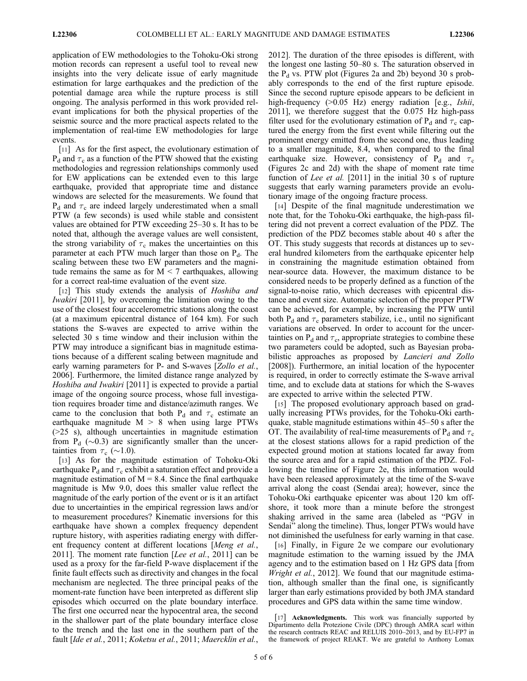application of EW methodologies to the Tohoku-Oki strong motion records can represent a useful tool to reveal new insights into the very delicate issue of early magnitude estimation for large earthquakes and the prediction of the potential damage area while the rupture process is still ongoing. The analysis performed in this work provided relevant implications for both the physical properties of the seismic source and the more practical aspects related to the implementation of real-time EW methodologies for large events.

[11] As for the first aspect, the evolutionary estimation of  $P_d$  and  $\tau_c$  as a function of the PTW showed that the existing methodologies and regression relationships commonly used for EW applications can be extended even to this large earthquake, provided that appropriate time and distance windows are selected for the measurements. We found that  $P_d$  and  $\tau_c$  are indeed largely underestimated when a small PTW (a few seconds) is used while stable and consistent values are obtained for PTW exceeding 25–30 s. It has to be noted that, although the average values are well consistent, the strong variability of  $\tau_c$  makes the uncertainties on this parameter at each PTW much larger than those on  $P_d$ . The scaling between these two EW parameters and the magnitude remains the same as for  $M < 7$  earthquakes, allowing for a correct real-time evaluation of the event size.

[12] This study extends the analysis of *Hoshiba and* Iwakiri [2011], by overcoming the limitation owing to the use of the closest four accelerometric stations along the coast (at a maximum epicentral distance of 164 km). For such stations the S-waves are expected to arrive within the selected 30 s time window and their inclusion within the PTW may introduce a significant bias in magnitude estimations because of a different scaling between magnitude and early warning parameters for P- and S-waves [Zollo et al., 2006]. Furthermore, the limited distance range analyzed by Hoshiba and Iwakiri [2011] is expected to provide a partial image of the ongoing source process, whose full investigation requires broader time and distance/azimuth ranges. We came to the conclusion that both  $P_d$  and  $\tau_c$  estimate an earthquake magnitude  $M > 8$  when using large PTWs (>25 s), although uncertainties in magnitude estimation from  $P_d$  ( $\sim$ 0.3) are significantly smaller than the uncertainties from  $\tau_c$  (~1.0).

[13] As for the magnitude estimation of Tohoku-Oki earthquake  $P_d$  and  $\tau_c$  exhibit a saturation effect and provide a magnitude estimation of  $M = 8.4$ . Since the final earthquake magnitude is Mw 9.0, does this smaller value reflect the magnitude of the early portion of the event or is it an artifact due to uncertainties in the empirical regression laws and/or to measurement procedures? Kinematic inversions for this earthquake have shown a complex frequency dependent rupture history, with asperities radiating energy with different frequency content at different locations [Meng et al., 2011]. The moment rate function [Lee et al., 2011] can be used as a proxy for the far-field P-wave displacement if the finite fault effects such as directivity and changes in the focal mechanism are neglected. The three principal peaks of the moment-rate function have been interpreted as different slip episodes which occurred on the plate boundary interface. The first one occurred near the hypocentral area, the second in the shallower part of the plate boundary interface close to the trench and the last one in the southern part of the fault [Ide et al., 2011; Koketsu et al., 2011; Maercklin et al.,

2012]. The duration of the three episodes is different, with the longest one lasting 50–80 s. The saturation observed in the  $P_d$  vs. PTW plot (Figures 2a and 2b) beyond 30 s probably corresponds to the end of the first rupture episode. Since the second rupture episode appears to be deficient in high-frequency (>0.05 Hz) energy radiation [e.g., *Ishii*, 2011], we therefore suggest that the 0.075 Hz high-pass filter used for the evolutionary estimation of  $P_d$  and  $\tau_c$  captured the energy from the first event while filtering out the prominent energy emitted from the second one, thus leading to a smaller magnitude, 8.4, when compared to the final earthquake size. However, consistency of  $P_d$  and  $\tau_c$ (Figures 2c and 2d) with the shape of moment rate time function of Lee et al. [2011] in the initial 30 s of rupture suggests that early warning parameters provide an evolutionary image of the ongoing fracture process.

[14] Despite of the final magnitude underestimation we note that, for the Tohoku-Oki earthquake, the high-pass filtering did not prevent a correct evaluation of the PDZ. The prediction of the PDZ becomes stable about 40 s after the OT. This study suggests that records at distances up to several hundred kilometers from the earthquake epicenter help in constraining the magnitude estimation obtained from near-source data. However, the maximum distance to be considered needs to be properly defined as a function of the signal-to-noise ratio, which decreases with epicentral distance and event size. Automatic selection of the proper PTW can be achieved, for example, by increasing the PTW until both  $P_d$  and  $\tau_c$  parameters stabilize, i.e., until no significant variations are observed. In order to account for the uncertainties on  $P_d$  and  $\tau_c$ , appropriate strategies to combine these two parameters could be adopted, such as Bayesian probabilistic approaches as proposed by *Lancieri and Zollo* [2008]). Furthermore, an initial location of the hypocenter is required, in order to correctly estimate the S-wave arrival time, and to exclude data at stations for which the S-waves are expected to arrive within the selected PTW.

[15] The proposed evolutionary approach based on gradually increasing PTWs provides, for the Tohoku-Oki earthquake, stable magnitude estimations within 45–50 s after the OT. The availability of real-time measurements of  $P_d$  and  $\tau_c$ at the closest stations allows for a rapid prediction of the expected ground motion at stations located far away from the source area and for a rapid estimation of the PDZ. Following the timeline of Figure 2e, this information would have been released approximately at the time of the S-wave arrival along the coast (Sendai area); however, since the Tohoku-Oki earthquake epicenter was about 120 km offshore, it took more than a minute before the strongest shaking arrived in the same area (labeled as "PGV in Sendai" along the timeline). Thus, longer PTWs would have not diminished the usefulness for early warning in that case.

[16] Finally, in Figure 2e we compare our evolutionary magnitude estimation to the warning issued by the JMA agency and to the estimation based on 1 Hz GPS data [from Wright et al., 2012]. We found that our magnitude estimation, although smaller than the final one, is significantly larger than early estimations provided by both JMA standard procedures and GPS data within the same time window.

<sup>[17]</sup> **Acknowledgments.** This work was financially supported by Dipartimento della Protezione Civile (DPC) through AMRA scarl within the research contracts REAC and RELUIS 2010–2013, and by EU-FP7 in the framework of project REAKT. We are grateful to Anthony Lomax